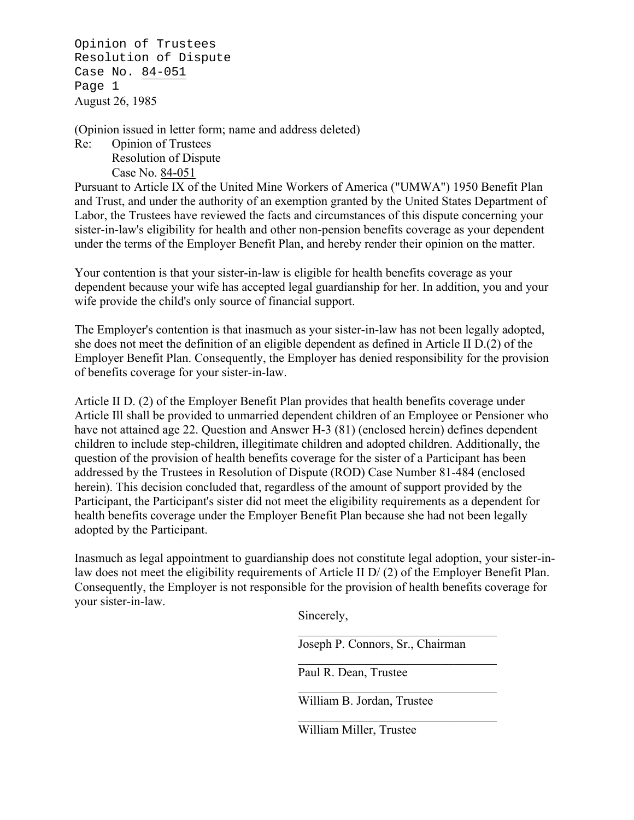Opinion of Trustees Resolution of Dispute Case No. 84-051 Page 1 August 26, 1985

(Opinion issued in letter form; name and address deleted)

Re: Opinion of Trustees Resolution of Dispute Case No. 84-051

Pursuant to Article IX of the United Mine Workers of America ("UMWA") 1950 Benefit Plan and Trust, and under the authority of an exemption granted by the United States Department of Labor, the Trustees have reviewed the facts and circumstances of this dispute concerning your sister-in-law's eligibility for health and other non-pension benefits coverage as your dependent under the terms of the Employer Benefit Plan, and hereby render their opinion on the matter.

Your contention is that your sister-in-law is eligible for health benefits coverage as your dependent because your wife has accepted legal guardianship for her. In addition, you and your wife provide the child's only source of financial support.

The Employer's contention is that inasmuch as your sister-in-law has not been legally adopted, she does not meet the definition of an eligible dependent as defined in Article II D.(2) of the Employer Benefit Plan. Consequently, the Employer has denied responsibility for the provision of benefits coverage for your sister-in-law.

Article II D. (2) of the Employer Benefit Plan provides that health benefits coverage under Article Ill shall be provided to unmarried dependent children of an Employee or Pensioner who have not attained age 22. Question and Answer H-3 (81) (enclosed herein) defines dependent children to include step-children, illegitimate children and adopted children. Additionally, the question of the provision of health benefits coverage for the sister of a Participant has been addressed by the Trustees in Resolution of Dispute (ROD) Case Number 81-484 (enclosed herein). This decision concluded that, regardless of the amount of support provided by the Participant, the Participant's sister did not meet the eligibility requirements as a dependent for health benefits coverage under the Employer Benefit Plan because she had not been legally adopted by the Participant.

Inasmuch as legal appointment to guardianship does not constitute legal adoption, your sister-inlaw does not meet the eligibility requirements of Article II D/ (2) of the Employer Benefit Plan. Consequently, the Employer is not responsible for the provision of health benefits coverage for your sister-in-law.

Sincerely,

Joseph P. Connors, Sr., Chairman

Paul R. Dean, Trustee

William B. Jordan, Trustee

William Miller, Trustee